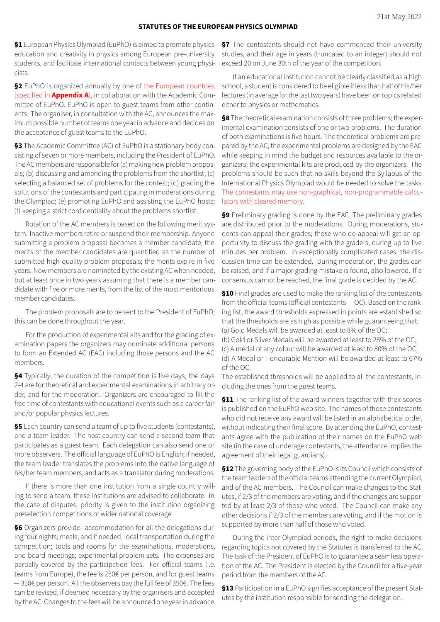## **STATUTES OF THE EUROPEAN PHYSICS OLYMPIAD**

**§1** European Physics Olympiad (EuPhO) is aimed to promote physics education and creativity in physics among European pre-university students, and facilitate international contacts between young physicists.

**§2** EuPhO is organized annually by one of the European countries (specified in **Appendix A**), in collaboration with the Academic Com‑ mittee of EuPhO. EuPhO is open to guest teams from other continents. The organiser, in consultation with the AC, announces the maximum possible number of teams one year in advance and decides on the acceptance of guest teams to the EuPhO.

§3 The Academic Committee (AC) of EuPhO is a stationary body consisting of seven or more members, including the President of EuPhO. The AC members are responsible for (a) making new problem proposals; (b) discussing and amending the problems from the shortlist; (c) selecting a balanced set of problems for the contest; (d) grading the solutions of the contestants and participating in moderations during the Olympiad; (e) promoting EuPhO and assisting the EuPhO hosts; (f) keeping a strict confidentiality about the problems shortlist.

Rotation of the AC members is based on the following merit system. Inactive members retire or suspend their membership. Anyone submitting a problem proposal becomes a member candidate; the merits of the member candidates are quantified as the number of submitted high-quality problem proposals; the merits expire in five years. New members are nominated by the existing AC when needed, but at least once in two years assuming that there is a member candidate with five or more merits, from the list of the most meritorious member candidates.

The problem proposals are to be sent to the President of EuPhO; this can be done throughout the year.

For the production of experimental kits and for the grading of examination papers the organizers may nominate additional persons to form an Extended AC (EAC) including those persons and the AC members.

**§4** Typically, the duration of the competition is five days; the days 2-4 are for theoretical and experimental examinations in arbitrary order, and for the moderation. Organizers are encouraged to fill the free time of contestants with educational events such as a career fair and/or popular physics lectures.

**§5** Each country can send a team of up to five students (contestants), and a team leader. The host country can send a second team that participates as a guest team. Each delegation can also send one or more observers. The official language of EuPhO is English; if needed, the team leader translates the problems into the native language of his/her team members, and acts as a translator during moderations.

If there is more than one institution from a single country willing to send a team, these institutions are advised to collaborate. In the case of disputes, priority is given to the institution organizing preselection competitions of wider national coverage.

§6 Organizers provide: accommodation for all the delegations during four nights; meals, and if needed, local transportation during the competition; tools and rooms for the examinations, moderations, and board meetings; experimental problem sets. The expenses are partially covered by the participation fees. For official teams (i.e. teams from Europe), the fee is 250€ per person, and for guest teams — 350€ per person. All the observers pay the full fee of 350€. The fees can be revised, if deemed necessary by the organisers and accepted by the AC. Changes to the fees will be announced one year in advance.

**§7** The contestants should not have commenced their university studies, and their age in years (truncated to an integer) should not exceed 20 on June 30th of the year of the competition.

If an educational institution cannot be clearly classified as a high school, a student is considered to be eligible if less than half of his/her lectures (in average for the last two years) have been on topics related either to physics or mathematics.

**§8** The theoretical examination consists of three problems; the experimental examination consists of one or two problems. The duration of both examinations is five hours. The theoretical problems are pre‑ pared by the AC; the experimental problems are designed by the EAC while keeping in mind the budget and resources available to the organizers; the experimental kits are produced by the organizers. The problems should be such that no skills beyond the Syllabus of the International Physics Olympiad would be needed to solve the tasks. The contestants may use non-graphical, non-programmable calculators with cleared memory.

**§9** Preliminary grading is done by the EAC. The preliminary grades are distributed prior to the moderations. During moderations, students can appeal their grades; those who do appeal will get an opportunity to discuss the grading with the graders, during up to five minutes per problem. In exceptionally complicated cases, the discussion time can be extended. During moderation, the grades can be raised, and if a major grading mistake is found, also lowered. If a consensus cannot be reached, the final grade is decided by the AC.

**§10** Final grades are used to make the ranking list of the contestants from the official teams (official contestants  $-$  OC). Based on the ranking list, the award thresholds expressed in points are established so that the thresholds are as high as possible while guaranteeing that: (a) Gold Medals will be awarded at least to 8% of the OC;

(b) Gold or Silver Medals will be awarded at least to 25% of the OC; (c) A medal of any colour will be awarded at least to 50% of the OC; (d) A Medal or Honourable Mention will be awarded at least to 67% of the OC.

The established thresholds will be applied to all the contestants, including the ones from the guest teams.

**§11** The ranking list of the award winners together with their scores is published on the EuPhO web site. The names of those contestants who did not receive any award will be listed in an alphabetical order, without indicating their final score. By attending the EuPhO, contestants agree with the publication of their names on the EuPhO web site (in the case of underage contestants, the attendance implies the agreement of their legal guardians).

**§12** The governing body of the EuPhO is its Council which consists of the team leaders of the official teams attending the current Olympiad, and of the AC members. The Council can make changes to the Statutes, if 2/3 of the members are voting, and if the changes are supported by at least 2/3 of those who voted. The Council can make any other decisions if 2/3 of the members are voting, and if the motion is supported by more than half of those who voted.

During the inter‑Olympiad periods, the right to make decisions regarding topics not covered by the Statutes is transferred to the AC. The task of the President of EuPhO is to guarantee a seamless operation of the AC. The President is elected by the Council for a five-year period from the members of the AC.

§13 Participation in a EuPhO signifies acceptance of the present Statutes by the institution responsible for sending the delegation.